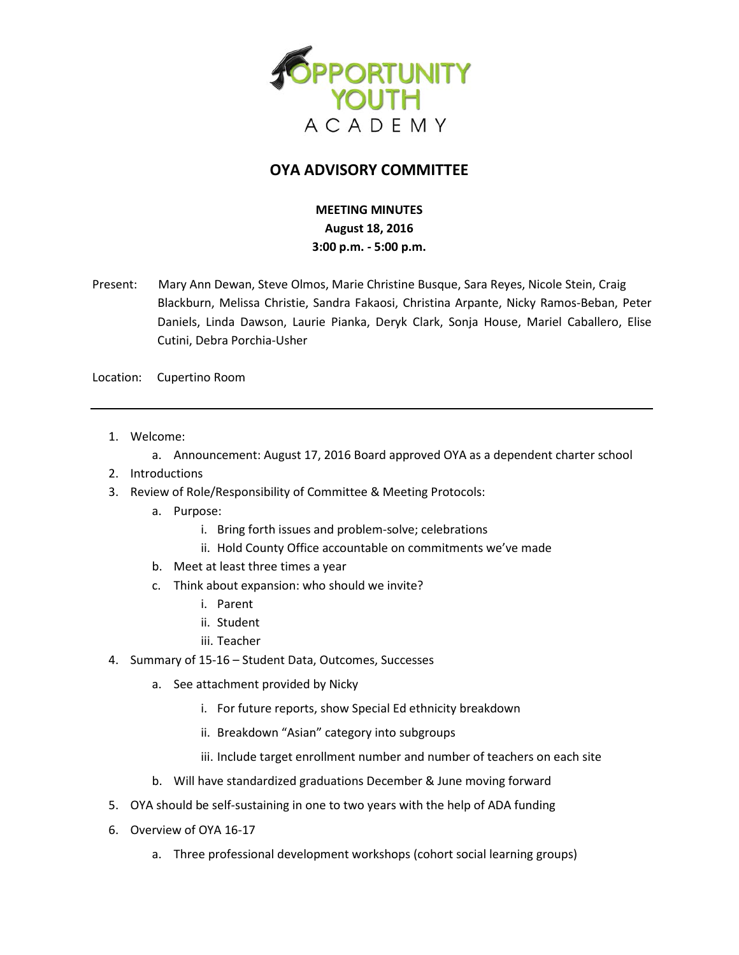

## **OYA ADVISORY COMMITTEE**

## **MEETING MINUTES August 18, 2016 3:00 p.m. - 5:00 p.m.**

Present: Mary Ann Dewan, Steve Olmos, Marie Christine Busque, Sara Reyes, Nicole Stein, Craig Blackburn, Melissa Christie, Sandra Fakaosi, Christina Arpante, Nicky Ramos-Beban, Peter Daniels, Linda Dawson, Laurie Pianka, Deryk Clark, Sonja House, Mariel Caballero, Elise Cutini, Debra Porchia-Usher

Location: Cupertino Room

- 1. Welcome:
	- a. Announcement: August 17, 2016 Board approved OYA as a dependent charter school
- 2. Introductions
- 3. Review of Role/Responsibility of Committee & Meeting Protocols:
	- a. Purpose:
		- i. Bring forth issues and problem-solve; celebrations
		- ii. Hold County Office accountable on commitments we've made
	- b. Meet at least three times a year
	- c. Think about expansion: who should we invite?
		- i. Parent
		- ii. Student
		- iii. Teacher
- 4. Summary of 15-16 Student Data, Outcomes, Successes
	- a. See attachment provided by Nicky
		- i. For future reports, show Special Ed ethnicity breakdown
		- ii. Breakdown "Asian" category into subgroups
		- iii. Include target enrollment number and number of teachers on each site
	- b. Will have standardized graduations December & June moving forward
- 5. OYA should be self-sustaining in one to two years with the help of ADA funding
- 6. Overview of OYA 16-17
	- a. Three professional development workshops (cohort social learning groups)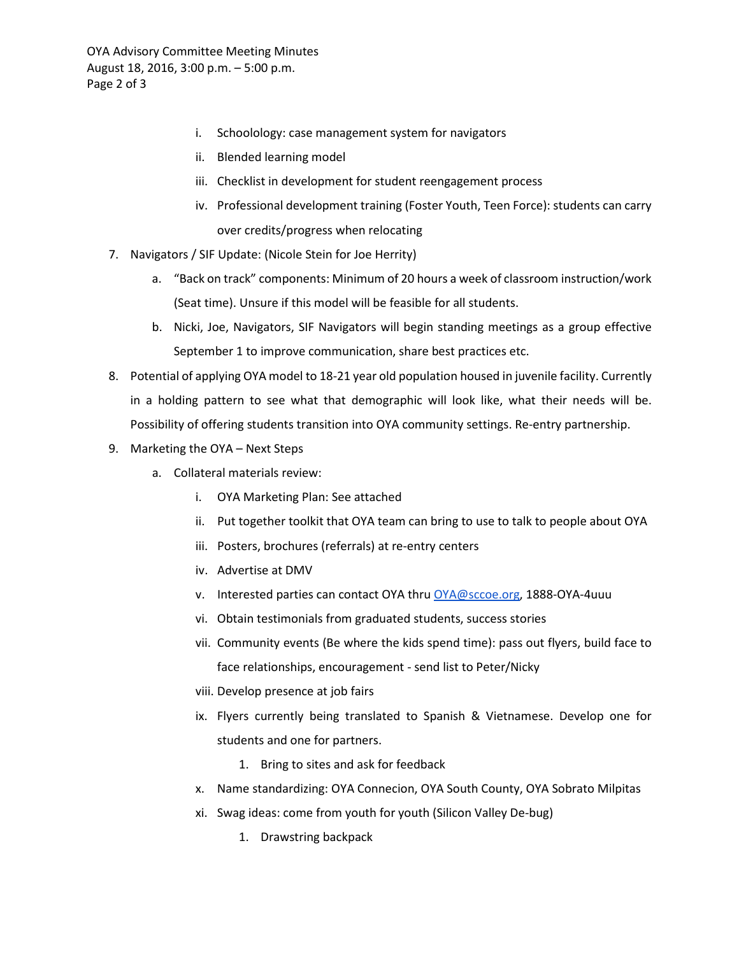OYA Advisory Committee Meeting Minutes August 18, 2016, 3:00 p.m. – 5:00 p.m. Page 2 of 3

- i. Schoolology: case management system for navigators
- ii. Blended learning model
- iii. Checklist in development for student reengagement process
- iv. Professional development training (Foster Youth, Teen Force): students can carry over credits/progress when relocating
- 7. Navigators / SIF Update: (Nicole Stein for Joe Herrity)
	- a. "Back on track" components: Minimum of 20 hours a week of classroom instruction/work (Seat time). Unsure if this model will be feasible for all students.
	- b. Nicki, Joe, Navigators, SIF Navigators will begin standing meetings as a group effective September 1 to improve communication, share best practices etc.
- 8. Potential of applying OYA model to 18-21 year old population housed in juvenile facility. Currently in a holding pattern to see what that demographic will look like, what their needs will be. Possibility of offering students transition into OYA community settings. Re-entry partnership.
- 9. Marketing the OYA Next Steps
	- a. Collateral materials review:
		- i. OYA Marketing Plan: See attached
		- ii. Put together toolkit that OYA team can bring to use to talk to people about OYA
		- iii. Posters, brochures (referrals) at re-entry centers
		- iv. Advertise at DMV
		- v. Interested parties can contact OYA thr[u OYA@sccoe.org,](mailto:OYA@sccoe.org) 1888-OYA-4uuu
		- vi. Obtain testimonials from graduated students, success stories
		- vii. Community events (Be where the kids spend time): pass out flyers, build face to face relationships, encouragement - send list to Peter/Nicky
		- viii. Develop presence at job fairs
		- ix. Flyers currently being translated to Spanish & Vietnamese. Develop one for students and one for partners.
			- 1. Bring to sites and ask for feedback
		- x. Name standardizing: OYA Connecion, OYA South County, OYA Sobrato Milpitas
		- xi. Swag ideas: come from youth for youth (Silicon Valley De-bug)
			- 1. Drawstring backpack